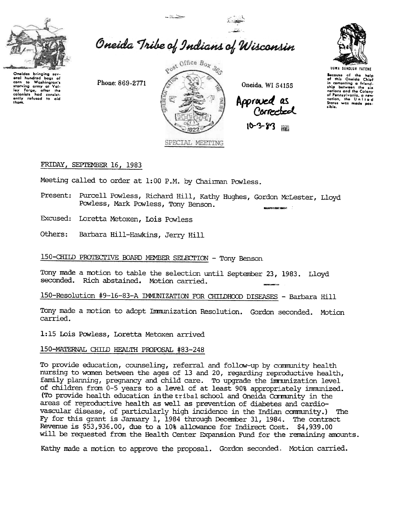

# Oneida Tribe of Indians of Wisconsin

 $-12.5$ 

Phone: 869-2771



Oneida, WI 54155

Appraved as<br>Corrected

 $10 - 3 - 8$ <sup>3</sup>



UGWA DEHOLUN YATEME

Because of the help<br>of this Oneida Chief<br>in cementing a friend-<br>ship between the six nations and the Colony nations and the colonies<br>of Pennsylvania, a new<br>nation, the United<br>States was made possible.

### FRIDAY, SEPTEMBER 16, 1983

Meeting called to order at 1:00 P.M. by Chairman Powless.

- Present: Purcell Powless, Richard Hill, Kathy Hughes, Gordon McLester, Lloyd Powless, Mark Powless, Tony Benson.
- Excused: Loretta Metoxen, Lois Powless
- Others: Barbara Hill-Hawkins, Jerry Hill

# 150-CHILD PROTECTIVE BOARD MEMBER SELECTION - Tony Benson

Tony made a motion to table the selection until September 23, 1983. Lloyd seconded. Rich abstained. Motion carried.

150-Resolution #9-16-83-A IMMUNIZATION FOR CHIIDHOOD DISEASES - Barbara Hill

Tony made a motion to adopt Immunization Resolution. Gordon seconded. Motion carried.

1:15 Lois Powless, Loretta Metoxen arrived

#### 150-MATERNAL CHILD HEALTH PROPOSAL #83-248

To provide education, counseling, referral and follow-up by community health nursing to women between the ages of 13 and 20, regarding reproductive health, family planning, pregnancy and child care. To upgrade the immunization level of children from 0-5 years to a level of at least 90% appropriately immunized. (To provide health education in the tribal school and Oneida Community in the areas of reproductive health as well as prevention of diabetes and cardiovascular disease, of particularly high incidence in the Indian community.) The Fy for this grant is January 1, 1984 through December 31, 1984. The contract Revenue is \$53,936.00, due to a 10% allowance for Indirect Cost. \$4,939.00 will be requested from the Health Center Expansion Fund for the remaining amounts.

Kathy made a motion to approve the proposal. Gordon seconded. Motion carried.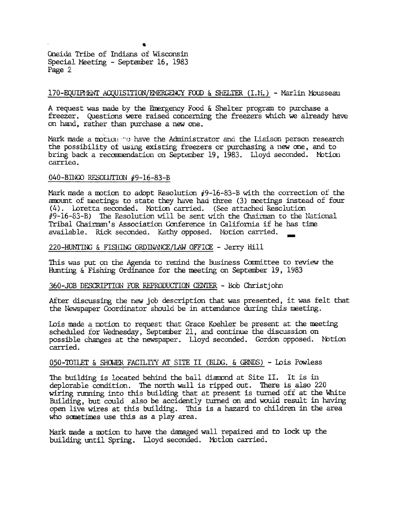Oneida Tribe of Indians of Wisconsin Special Meeting - September 16, 1983 Page 2

## 170-EQUIPMENT ACQUISITION/EMERGENCY FOOD & SHELTER (I.M.) - Marlin Mousseau

A request was made by the Emergency Food & Shelter program to purchase a freezer. Questions were raised concerning the freezers which we already have on hand, rather than purchase a new one.

Mark made a motion to have the Administrator and the Liaison person research the possibility of using existing freezers or purchasing a new one, and to bring back a recommendation on September 19, 1983. Lloyd seconded. Motion carried.

#### 040-BINGO RESOLUTION #9-16-83-B

Mark made a motion to adopt Resolution  $\ddot{\theta}$ 9-16-83-B with the correction of the amount of meetings to state they have had three (3) meetings instead of four (4). Loretta seconded. Motion carried. (See attached Resolution #9-16-83-B) The Resolution will be sent with the Chairman to the National Tribal Chairman's Association Conference in California if he has time available. Rick seconded. Kathy opposed. Motion carried.

#### 220-HUNTING & FISHING ORDINANCE/LAW OFFICE - Jerry Hill

This was put on the Agenda to remind the Business Committee to review the Hunting  $\&$  Fishing Ordinance for the meeting on September 19, 1983

#### 360-JOB DESCRIPTION FOR REPRODUCTION CENTER - Bob Christjohn

After discussing the new job description that was presented, it was felt that the Newspaper Coordinator should be in attendance during this meeting.

Lois made a motion to request that Grace Koehler be present at the meeting scheduled for Wednesday, September 21, and continue the discussion on possible changes at the newspaper. Lloyd seconded. Gordon opposed. Notion carried.

#### 050-TOILET & SHOWER FACILITY AT SITE II (BLDG. & GRNDS) - Lois Powless

The building is located behind the ball diamond at Site II. It is in deplorable condition. The north wall is ripped out. There is also 220 wiring running into this building that at present is turned off at the White Building, but could also be accidently turned on and would result in having open live wires at this building. This is a hazard to children in the area who sometimes use this as a play area.

Mark made a motion to have the damaged wall repaired and to lock up the building until Spring. Lloyd seconded. Motion carried.